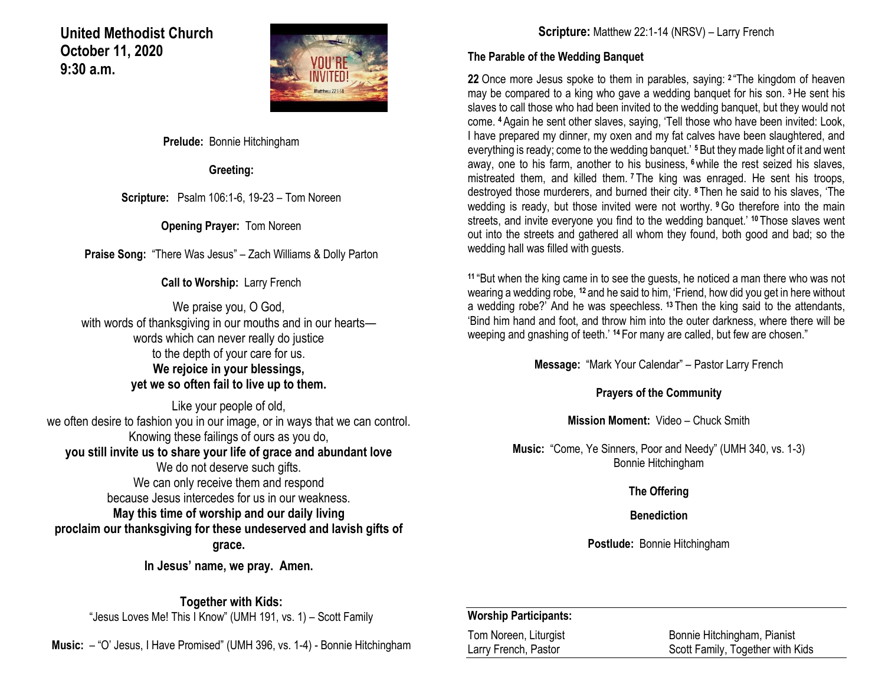### **United Methodist Church October 11, 2020 9:30 a.m.**



**Prelude:** Bonnie Hitchingham

**Greeting:**

**Scripture:** Psalm 106:1-6, 19-23 – Tom Noreen

**Opening Prayer:** Tom Noreen

**Praise Song:** "There Was Jesus" – Zach Williams & Dolly Parton

**Call to Worship:** Larry French

We praise you, O God, with words of thanksgiving in our mouths and in our hearts words which can never really do justice to the depth of your care for us. **We rejoice in your blessings, yet we so often fail to live up to them.**

Like your people of old, we often desire to fashion you in our image, or in ways that we can control. Knowing these failings of ours as you do, **you still invite us to share your life of grace and abundant love** We do not deserve such gifts. We can only receive them and respond because Jesus intercedes for us in our weakness. **May this time of worship and our daily living proclaim our thanksgiving for these undeserved and lavish gifts of grace.**

**In Jesus' name, we pray. Amen.**

**Together with Kids:**

"Jesus Loves Me! This I Know" (UMH 191, vs. 1) – Scott Family

**Music:** – "O' Jesus, I Have Promised" (UMH 396, vs. 1-4) - Bonnie Hitchingham

**Scripture:** Matthew 22:1-14 (NRSV) – Larry French

#### **The Parable of the Wedding Banquet**

**22** Once more Jesus spoke to them in parables, saying: **<sup>2</sup>** "The kingdom of heaven may be compared to a king who gave a wedding banquet for his son. **<sup>3</sup>**He sent his slaves to call those who had been invited to the wedding banquet, but they would not come. **<sup>4</sup>**Again he sent other slaves, saying, 'Tell those who have been invited: Look, I have prepared my dinner, my oxen and my fat calves have been slaughtered, and everything is ready; come to the wedding banquet.' **<sup>5</sup>**But they made light of it and went away, one to his farm, another to his business, **<sup>6</sup>**while the rest seized his slaves, mistreated them, and killed them. **<sup>7</sup>** The king was enraged. He sent his troops, destroyed those murderers, and burned their city. **<sup>8</sup>** Then he said to his slaves, 'The wedding is ready, but those invited were not worthy. **<sup>9</sup>**Go therefore into the main streets, and invite everyone you find to the wedding banquet.' **<sup>10</sup>** Those slaves went out into the streets and gathered all whom they found, both good and bad; so the wedding hall was filled with guests.

**<sup>11</sup>** "But when the king came in to see the guests, he noticed a man there who was not wearing a wedding robe, **<sup>12</sup>** and he said to him, 'Friend, how did you get in here without a wedding robe?' And he was speechless. **<sup>13</sup>** Then the king said to the attendants, 'Bind him hand and foot, and throw him into the outer darkness, where there will be weeping and gnashing of teeth.' **<sup>14</sup>** For many are called, but few are chosen."

**Message:** "Mark Your Calendar" – Pastor Larry French

**Prayers of the Community**

**Mission Moment:** Video – Chuck Smith

**Music:** "Come, Ye Sinners, Poor and Needy" (UMH 340, vs. 1-3) Bonnie Hitchingham

### **The Offering**

**Benediction**

**Postlude:** Bonnie Hitchingham

#### **Worship Participants:**

Tom Noreen, Liturgist<br>
Larry French, Pastor<br>
Larry French, Pastor<br>
Larry French, Pastor<br>
Larry French, Pastor<br>
Larry French, Pastor<br>
Larry French, Pastor<br>
Larry French, Pastor<br>
Larry French, Pastor Scott Family, Together with Kids